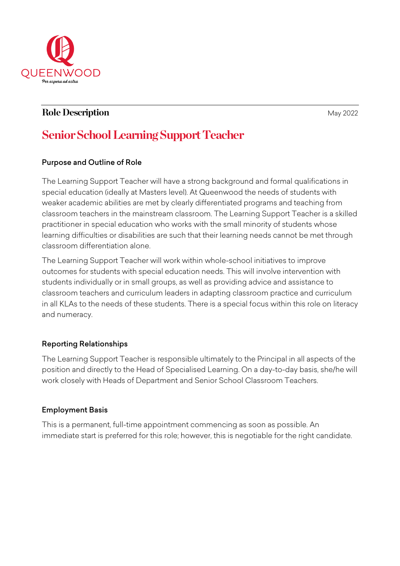

# **Role Description May 2022**

# **Senior School Learning Support Teacher**

## Purpose and Outline of Role

The Learning Support Teacher will have a strong background and formal qualifications in special education (ideally at Masters level). At Queenwood the needs of students with weaker academic abilities are met by clearly differentiated programs and teaching from classroom teachers in the mainstream classroom. The Learning Support Teacher is a skilled practitioner in special education who works with the small minority of students whose learning difficulties or disabilities are such that their learning needs cannot be met through classroom differentiation alone.

The Learning Support Teacher will work within whole-school initiatives to improve outcomes for students with special education needs. This will involve intervention with students individually or in small groups, as well as providing advice and assistance to classroom teachers and curriculum leaders in adapting classroom practice and curriculum in all KLAs to the needs of these students. There is a special focus within this role on literacy and numeracy.

# Reporting Relationships

The Learning Support Teacher is responsible ultimately to the Principal in all aspects of the position and directly to the Head of Specialised Learning. On a day-to-day basis, she/he will work closely with Heads of Department and Senior School Classroom Teachers.

#### Employment Basis

This is a permanent, full-time appointment commencing as soon as possible. An immediate start is preferred for this role; however, this is negotiable for the right candidate.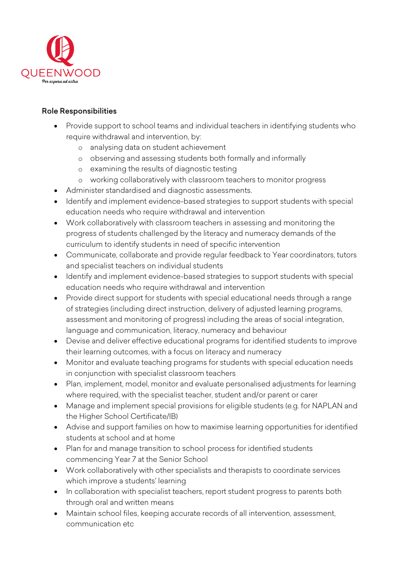

#### Role Responsibilities

- Provide support to school teams and individual teachers in identifying students who require withdrawal and intervention, by:
	- o analysing data on student achievement
	- o observing and assessing students both formally and informally
	- o examining the results of diagnostic testing
	- o working collaboratively with classroom teachers to monitor progress
- Administer standardised and diagnostic assessments.
- Identify and implement evidence-based strategies to support students with special education needs who require withdrawal and intervention
- Work collaboratively with classroom teachers in assessing and monitoring the progress of students challenged by the literacy and numeracy demands of the curriculum to identify students in need of specific intervention
- Communicate, collaborate and provide regular feedback to Year coordinators, tutors and specialist teachers on individual students
- Identify and implement evidence-based strategies to support students with special education needs who require withdrawal and intervention
- Provide direct support for students with special educational needs through a range of strategies (including direct instruction, delivery of adjusted learning programs, assessment and monitoring of progress) including the areas of social integration, language and communication, literacy, numeracy and behaviour
- Devise and deliver effective educational programs for identified students to improve their learning outcomes, with a focus on literacy and numeracy
- Monitor and evaluate teaching programs for students with special education needs in conjunction with specialist classroom teachers
- Plan, implement, model, monitor and evaluate personalised adjustments for learning where required, with the specialist teacher, student and/or parent or carer
- Manage and implement special provisions for eligible students (e.g. for NAPLAN and the Higher School Certificate/IB)
- Advise and support families on how to maximise learning opportunities for identified students at school and at home
- Plan for and manage transition to school process for identified students commencing Year 7 at the Senior School
- Work collaboratively with other specialists and therapists to coordinate services which improve a students' learning
- In collaboration with specialist teachers, report student progress to parents both through oral and written means
- Maintain school files, keeping accurate records of all intervention, assessment, communication etc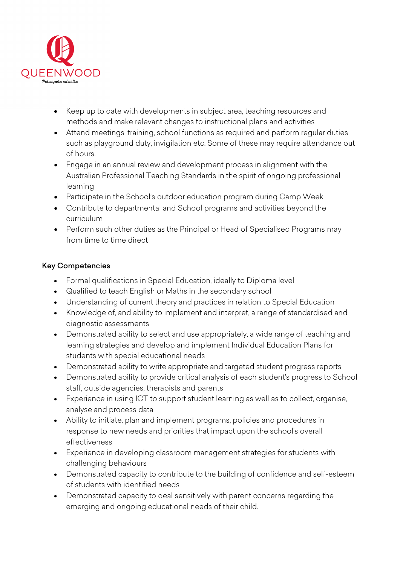

- Keep up to date with developments in subject area, teaching resources and methods and make relevant changes to instructional plans and activities
- Attend meetings, training, school functions as required and perform regular duties such as playground duty, invigilation etc. Some of these may require attendance out of hours.
- Engage in an annual review and development process in alignment with the Australian Professional Teaching Standards in the spirit of ongoing professional learning
- Participate in the School's outdoor education program during Camp Week
- Contribute to departmental and School programs and activities beyond the curriculum
- Perform such other duties as the Principal or Head of Specialised Programs may from time to time direct

# Key Competencies

- Formal qualifications in Special Education, ideally to Diploma level
- Qualified to teach English or Maths in the secondary school
- Understanding of current theory and practices in relation to Special Education
- Knowledge of, and ability to implement and interpret, a range of standardised and diagnostic assessments
- Demonstrated ability to select and use appropriately, a wide range of teaching and learning strategies and develop and implement Individual Education Plans for students with special educational needs
- Demonstrated ability to write appropriate and targeted student progress reports
- Demonstrated ability to provide critical analysis of each student's progress to School staff, outside agencies, therapists and parents
- Experience in using ICT to support student learning as well as to collect, organise, analyse and process data
- Ability to initiate, plan and implement programs, policies and procedures in response to new needs and priorities that impact upon the school's overall effectiveness
- Experience in developing classroom management strategies for students with challenging behaviours
- Demonstrated capacity to contribute to the building of confidence and self-esteem of students with identified needs
- Demonstrated capacity to deal sensitively with parent concerns regarding the emerging and ongoing educational needs of their child.